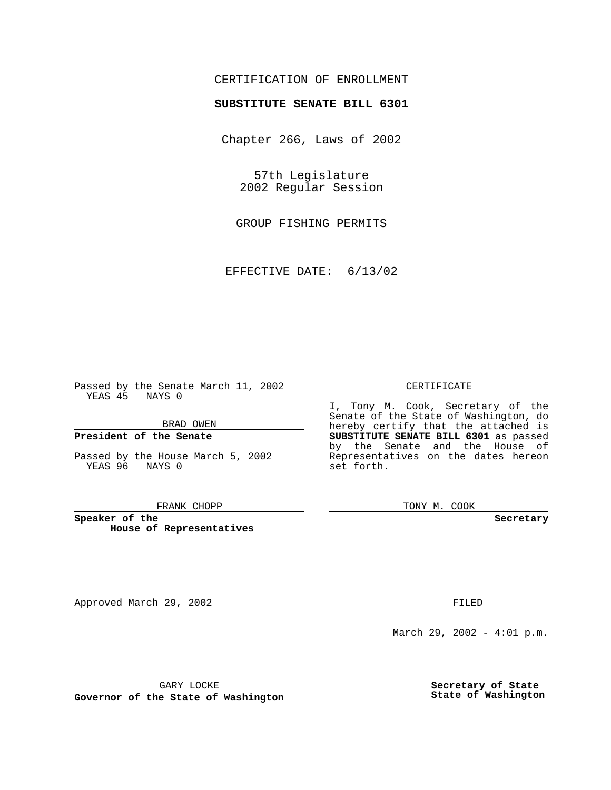# CERTIFICATION OF ENROLLMENT

# **SUBSTITUTE SENATE BILL 6301**

Chapter 266, Laws of 2002

57th Legislature 2002 Regular Session

GROUP FISHING PERMITS

EFFECTIVE DATE: 6/13/02

Passed by the Senate March 11, 2002 YEAS 45 NAYS 0

### BRAD OWEN

## **President of the Senate**

Passed by the House March 5, 2002 YEAS 96 NAYS 0

#### FRANK CHOPP

**Speaker of the House of Representatives**

Approved March 29, 2002 **FILED** 

### CERTIFICATE

I, Tony M. Cook, Secretary of the Senate of the State of Washington, do hereby certify that the attached is **SUBSTITUTE SENATE BILL 6301** as passed by the Senate and the House of Representatives on the dates hereon set forth.

TONY M. COOK

**Secretary**

March 29, 2002 - 4:01 p.m.

GARY LOCKE

**Governor of the State of Washington**

**Secretary of State State of Washington**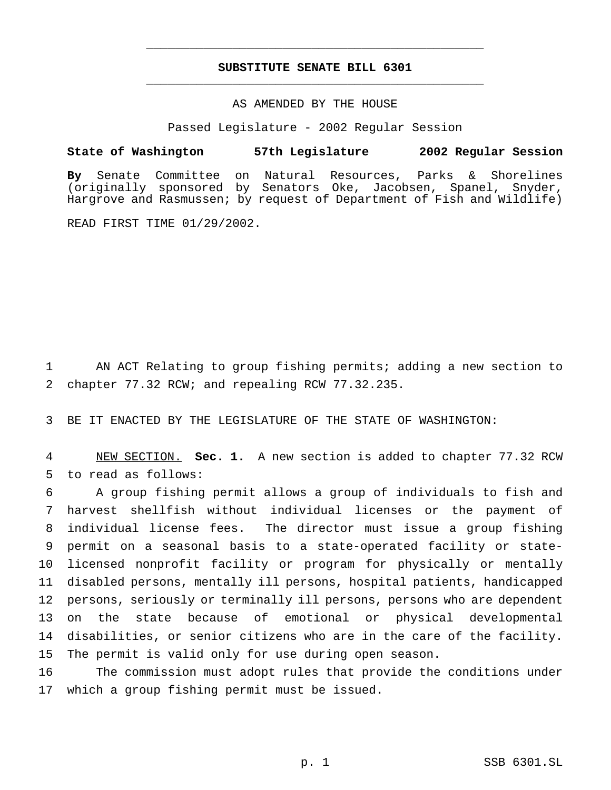# **SUBSTITUTE SENATE BILL 6301** \_\_\_\_\_\_\_\_\_\_\_\_\_\_\_\_\_\_\_\_\_\_\_\_\_\_\_\_\_\_\_\_\_\_\_\_\_\_\_\_\_\_\_\_\_\_\_

\_\_\_\_\_\_\_\_\_\_\_\_\_\_\_\_\_\_\_\_\_\_\_\_\_\_\_\_\_\_\_\_\_\_\_\_\_\_\_\_\_\_\_\_\_\_\_

## AS AMENDED BY THE HOUSE

Passed Legislature - 2002 Regular Session

### **State of Washington 57th Legislature 2002 Regular Session**

**By** Senate Committee on Natural Resources, Parks & Shorelines (originally sponsored by Senators Oke, Jacobsen, Spanel, Snyder, Hargrove and Rasmussen; by request of Department of Fish and Wildlife)

READ FIRST TIME 01/29/2002.

 AN ACT Relating to group fishing permits; adding a new section to chapter 77.32 RCW; and repealing RCW 77.32.235.

BE IT ENACTED BY THE LEGISLATURE OF THE STATE OF WASHINGTON:

 NEW SECTION. **Sec. 1.** A new section is added to chapter 77.32 RCW to read as follows:

 A group fishing permit allows a group of individuals to fish and harvest shellfish without individual licenses or the payment of individual license fees. The director must issue a group fishing permit on a seasonal basis to a state-operated facility or state- licensed nonprofit facility or program for physically or mentally disabled persons, mentally ill persons, hospital patients, handicapped persons, seriously or terminally ill persons, persons who are dependent on the state because of emotional or physical developmental disabilities, or senior citizens who are in the care of the facility. The permit is valid only for use during open season.

 The commission must adopt rules that provide the conditions under which a group fishing permit must be issued.